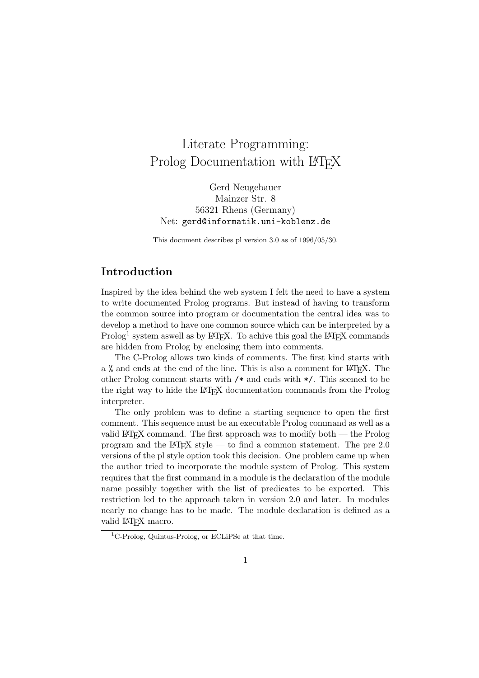# Literate Programming: Prolog Documentation with LAT<sub>EX</sub>

Gerd Neugebauer Mainzer Str. 8 56321 Rhens (Germany) Net: gerd@informatik.uni-koblenz.de

This document describes pl version 3.0 as of 1996/05/30.

# Introduction

Inspired by the idea behind the web system I felt the need to have a system to write documented Prolog programs. But instead of having to transform the common source into program or documentation the central idea was to develop a method to have one common source which can be interpreted by a  $\operatorname{Prolog}^1$  system as<br>well as by LAT<sub>E</sub>X. To achive this goal the LAT<sub>E</sub>X commands are hidden from Prolog by enclosing them into comments.

The C-Prolog allows two kinds of comments. The first kind starts with a % and ends at the end of the line. This is also a comment for LAT<sub>EX</sub>. The other Prolog comment starts with /\* and ends with \*/. This seemed to be the right way to hide the LAT<sub>EX</sub> documentation commands from the Prolog interpreter.

The only problem was to define a starting sequence to open the first comment. This sequence must be an executable Prolog command as well as a valid LATEX command. The first approach was to modify both — the Prolog program and the  $\angle M$ <sub>F</sub>X style — to find a common statement. The pre 2.0 versions of the pl style option took this decision. One problem came up when the author tried to incorporate the module system of Prolog. This system requires that the first command in a module is the declaration of the module name possibly together with the list of predicates to be exported. This restriction led to the approach taken in version 2.0 and later. In modules nearly no change has to be made. The module declaration is defined as a valid LAT<sub>EX</sub> macro.

<sup>&</sup>lt;sup>1</sup>C-Prolog, Quintus-Prolog, or ECLiPSe at that time.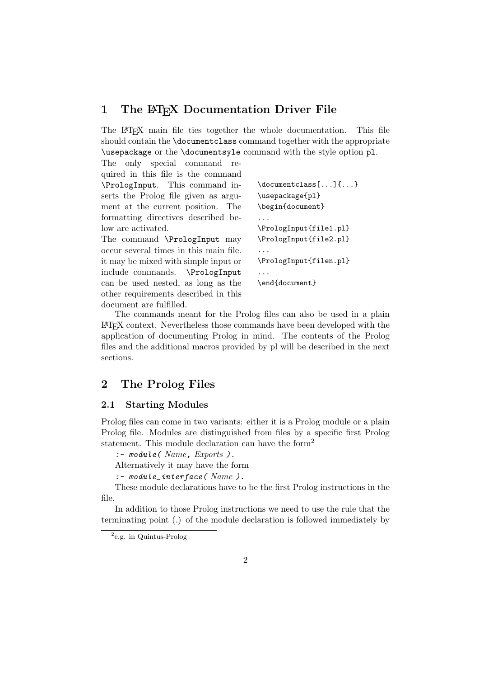# 1 The L<sup>AT</sup>EX Documentation Driver File

The LATEX main file ties together the whole documentation. This file should contain the \documentclass command together with the appropriate \usepackage or the \documentsyle command with the style option pl.

The only special command required in this file is the command \PrologInput. This command inserts the Prolog file given as argument at the current position. The formatting directives described below are activated.

The command \PrologInput may occur several times in this main file. it may be mixed with simple input or include commands. \PrologInput can be used nested, as long as the other requirements described in this document are fulfilled.

```
\documentclass[...]{...}
\usepackage{pl}
\begin{document}
...
\PrologInput{file1.pl}
\PrologInput{file2.pl}
...
\PrologInput{filen.pl}
...
\end{document}
```
The commands meant for the Prolog files can also be used in a plain LATEX context. Nevertheless those commands have been developed with the application of documenting Prolog in mind. The contents of the Prolog files and the additional macros provided by pl will be described in the next sections.

# 2 The Prolog Files

# 2.1 Starting Modules

Prolog files can come in two variants: either it is a Prolog module or a plain Prolog file. Modules are distinguished from files by a specific first Prolog statement. This module declaration can have the form<sup>2</sup>

```
:- module( Name, Exports ).
```
Alternatively it may have the form

 $:$  - module\_interface(  $Name$ ).

These module declarations have to be the first Prolog instructions in the file.

In addition to those Prolog instructions we need to use the rule that the terminating point (.) of the module declaration is followed immediately by

<sup>&</sup>lt;sup>2</sup>e.g. in Quintus-Prolog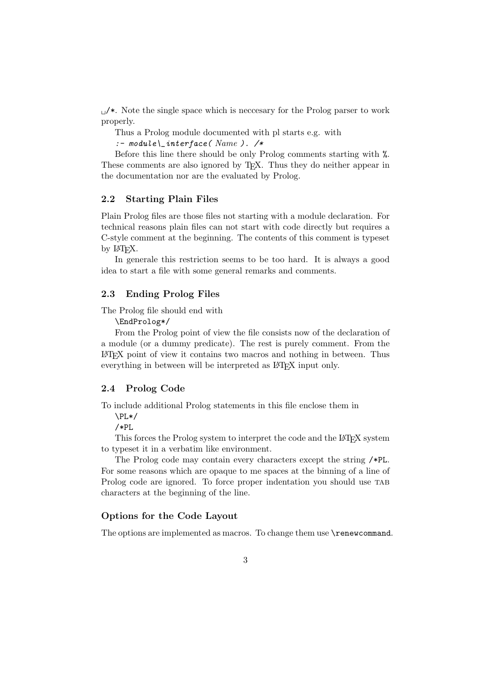$\mu$   $\star$ . Note the single space which is necessary for the Prolog parser to work properly.

Thus a Prolog module documented with pl starts e.g. with

:-  $module \cup interface( Name).$ /\*

Before this line there should be only Prolog comments starting with %. These comments are also ignored by T<sub>E</sub>X. Thus they do neither appear in the documentation nor are the evaluated by Prolog.

### 2.2 Starting Plain Files

Plain Prolog files are those files not starting with a module declaration. For technical reasons plain files can not start with code directly but requires a C-style comment at the beginning. The contents of this comment is typeset by L<sup>AT</sup>FX.

In generale this restriction seems to be too hard. It is always a good idea to start a file with some general remarks and comments.

### 2.3 Ending Prolog Files

#### The Prolog file should end with

\EndProlog\*/

From the Prolog point of view the file consists now of the declaration of a module (or a dummy predicate). The rest is purely comment. From the LATEX point of view it contains two macros and nothing in between. Thus everything in between will be interpreted as LAT<sub>EX</sub> input only.

### 2.4 Prolog Code

To include additional Prolog statements in this file enclose them in

 $\PPI.*/$ 

/\*PL

This forces the Prolog system to interpret the code and the LAT<sub>EX</sub> system to typeset it in a verbatim like environment.

The Prolog code may contain every characters except the string /\*PL. For some reasons which are opaque to me spaces at the binning of a line of Prolog code are ignored. To force proper indentation you should use TAB characters at the beginning of the line.

# Options for the Code Layout

The options are implemented as macros. To change them use  $\$ renew command.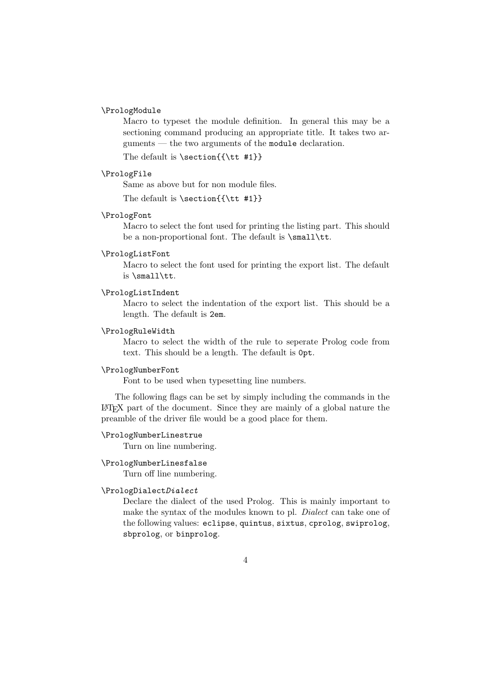# \PrologModule

Macro to typeset the module definition. In general this may be a sectioning command producing an appropriate title. It takes two arguments — the two arguments of the module declaration.

The default is \section{{\tt #1}}

### \PrologFile

Same as above but for non module files.

The default is  $\setminus$  section{{ $\tt \#1}$ }

### \PrologFont

Macro to select the font used for printing the listing part. This should be a non-proportional font. The default is \small\tt.

# \PrologListFont

Macro to select the font used for printing the export list. The default is \small\tt.

#### \PrologListIndent

Macro to select the indentation of the export list. This should be a length. The default is 2em.

### \PrologRuleWidth

Macro to select the width of the rule to seperate Prolog code from text. This should be a length. The default is 0pt.

### \PrologNumberFont

Font to be used when typesetting line numbers.

The following flags can be set by simply including the commands in the LATEX part of the document. Since they are mainly of a global nature the preamble of the driver file would be a good place for them.

#### \PrologNumberLinestrue

Turn on line numbering.

#### \PrologNumberLinesfalse

Turn off line numbering.

### \PrologDialectDialect

Declare the dialect of the used Prolog. This is mainly important to make the syntax of the modules known to pl. *Dialect* can take one of the following values: eclipse, quintus, sixtus, cprolog, swiprolog, sbprolog, or binprolog.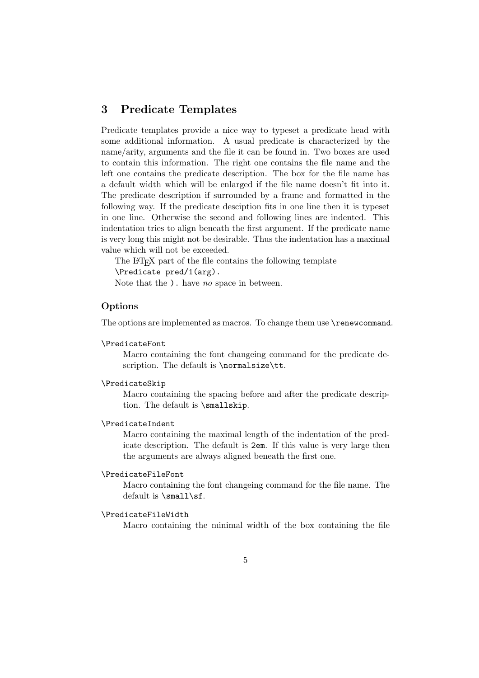# 3 Predicate Templates

Predicate templates provide a nice way to typeset a predicate head with some additional information. A usual predicate is characterized by the name/arity, arguments and the file it can be found in. Two boxes are used to contain this information. The right one contains the file name and the left one contains the predicate description. The box for the file name has a default width which will be enlarged if the file name doesn't fit into it. The predicate description if surrounded by a frame and formatted in the following way. If the predicate desciption fits in one line then it is typeset in one line. Otherwise the second and following lines are indented. This indentation tries to align beneath the first argument. If the predicate name is very long this might not be desirable. Thus the indentation has a maximal value which will not be exceeded.

The LATEX part of the file contains the following template \Predicate pred/1(arg).

Note that the  $\lambda$ . have no space in between.

# Options

The options are implemented as macros. To change them use \renewcommand.

### \PredicateFont

Macro containing the font changeing command for the predicate description. The default is \normalsize\tt.

#### \PredicateSkip

Macro containing the spacing before and after the predicate description. The default is \smallskip.

# \PredicateIndent

Macro containing the maximal length of the indentation of the predicate description. The default is 2em. If this value is very large then the arguments are always aligned beneath the first one.

#### \PredicateFileFont

Macro containing the font changeing command for the file name. The default is \small\sf.

### \PredicateFileWidth

Macro containing the minimal width of the box containing the file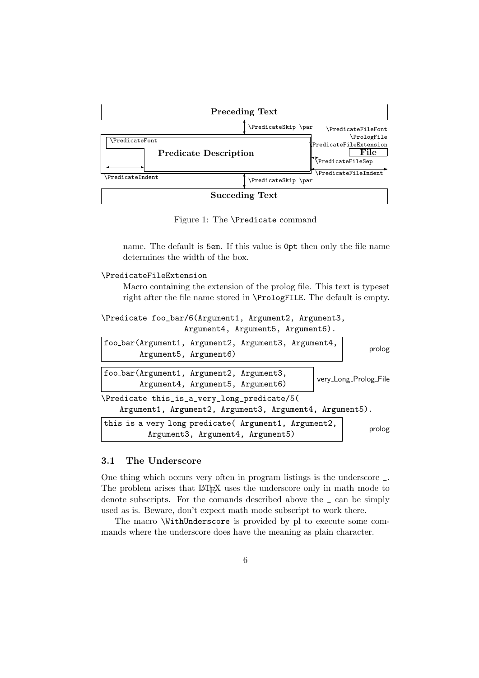

Figure 1: The \Predicate command

name. The default is 5em. If this value is 0pt then only the file name determines the width of the box.

```
\PredicateFileExtension
```
Macro containing the extension of the prolog file. This text is typeset right after the file name stored in \PrologFILE. The default is empty.

```
\Predicate foo_bar/6(Argument1, Argument2, Argument3,
                  Argument4, Argument5, Argument6).
```

| foo_bar(Argument1, Argument2, Argument3, Argument4,<br>Argument5, Argument6)                           |  | prolog                |  |
|--------------------------------------------------------------------------------------------------------|--|-----------------------|--|
| foo_bar(Argument1, Argument2, Argument3,<br>Argument4, Argument5, Argument6)                           |  | very_Long_Prolog_File |  |
| \Predicate this_is_a_very_long_predicate/5(<br>Argument1, Argument2, Argument3, Argument4, Argument5). |  |                       |  |
| this_is_a_very_long_predicate( Argument1, Argument2,<br>Argument3, Argument4, Argument5)               |  | prolog                |  |

### 3.1 The Underscore

One thing which occurs very often in program listings is the underscore \_. The problem arises that LAT<sub>EX</sub> uses the underscore only in math mode to denote subscripts. For the comands described above the \_ can be simply used as is. Beware, don't expect math mode subscript to work there.

The macro \WithUnderscore is provided by pl to execute some commands where the underscore does have the meaning as plain character.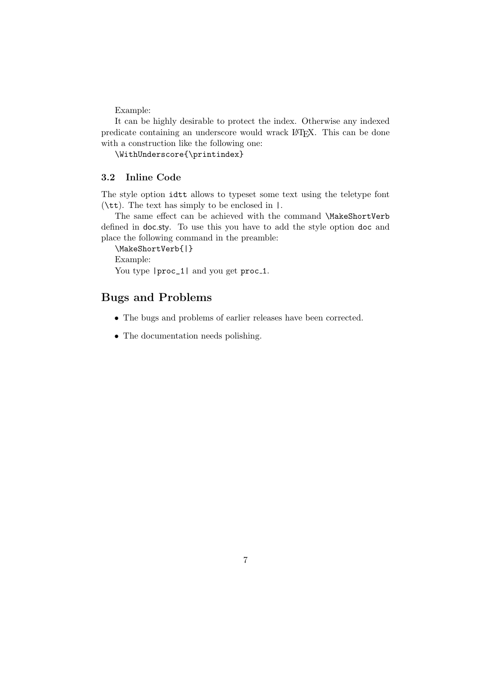Example:

It can be highly desirable to protect the index. Otherwise any indexed predicate containing an underscore would wrack LATEX. This can be done with a construction like the following one:

\WithUnderscore{\printindex}

# 3.2 Inline Code

The style option idtt allows to typeset some text using the teletype font (\tt). The text has simply to be enclosed in |.

The same effect can be achieved with the command \MakeShortVerb defined in doc.sty. To use this you have to add the style option doc and place the following command in the preamble:

\MakeShortVerb{|}

Example:

You type  $|proc_1|$  and you get proc<sub>1</sub>.

# Bugs and Problems

- The bugs and problems of earlier releases have been corrected.
- The documentation needs polishing.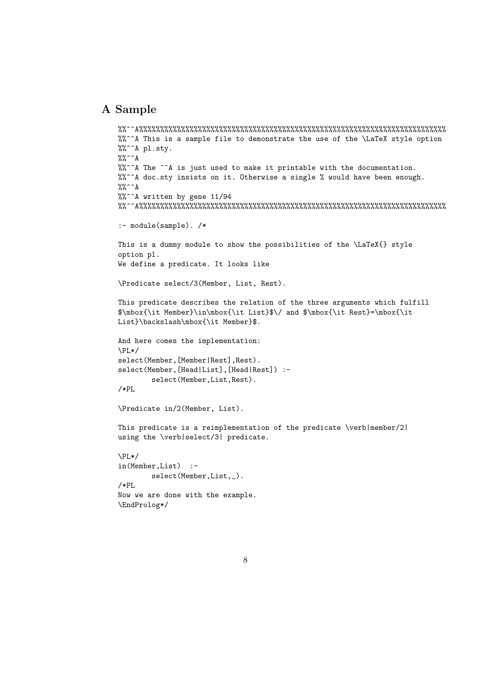# A Sample

```
%%^^A%%%%%%%%%%%%%%%%%%%%%%%%%%%%%%%%%%%%%%%%%%%%%%%%%%%%%%%%%%%%%%%%%%%%%%%%%
%%^^A This is a sample file to demonstrate the use of the \LaTeX style option
%%^^A pl.sty.
\frac{9}{6} \hat{A}%%^^A The ^^A is just used to make it printable with the documentation.
%%^^A doc.sty insists on it. Otherwise a single % would have been enough.
\frac{9}{6} \hat{A}%%^^A written by gene 11/94
%%^^A%%%%%%%%%%%%%%%%%%%%%%%%%%%%%%%%%%%%%%%%%%%%%%%%%%%%%%%%%%%%%%%%%%%%%%%%%
:- module(sample). /*
This is a dummy module to show the possibilities of the \LaTeX{} style
option pl.
We define a predicate. It looks like
\Predicate select/3(Member, List, Rest).
This predicate describes the relation of the three arguments which fulfill
$\mbox{\it Member}\in\mbox{\it List}$\/ and $\mbox{\it Rest}=\mbox{\it
List}\backslash\mbox{\it Member}$.
And here comes the implementation:
\PL*/
select(Member,[Member|Rest],Rest).
select(Member,[Head|List],[Head|Rest]) :-
        select(Member,List,Rest).
/*PL
\Predicate in/2(Member, List).
This predicate is a reimplementation of the predicate \verb|\verb|ver|/2|using the \verb|select/3| predicate.
\PPI.*/in(Member,List) :-
        select(Member,List,_).
/*PL
Now we are done with the example.
\EndProlog*/
```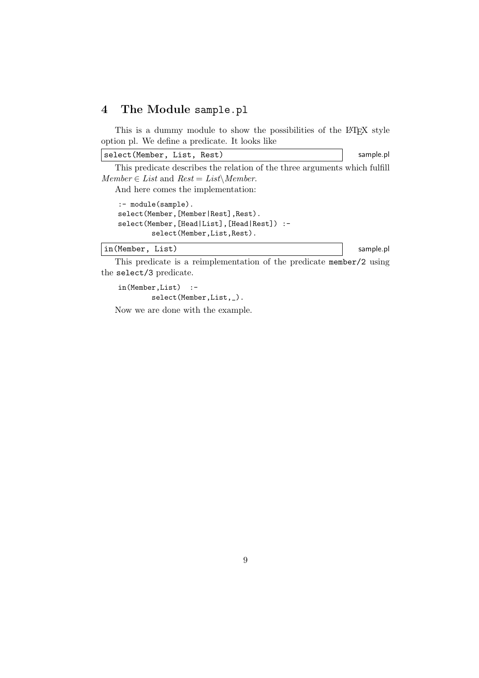# 4 The Module sample.pl

This is a dummy module to show the possibilities of the LAT<sub>EX</sub> style option pl. We define a predicate. It looks like

select(Member, List, Rest) sample.pl

This predicate describes the relation of the three arguments which fulfill  $Member \in List$  and  $Rest = List \setminus Member$ .

And here comes the implementation:

```
:- module(sample).
select(Member,[Member|Rest],Rest).
select(Member,[Head|List],[Head|Rest]) :-
        select(Member,List,Rest).
```
### in(Member, List) sample.pl

This predicate is a reimplementation of the predicate member/2 using the select/3 predicate.

in(Member,List) : select(Member,List,\_).

Now we are done with the example.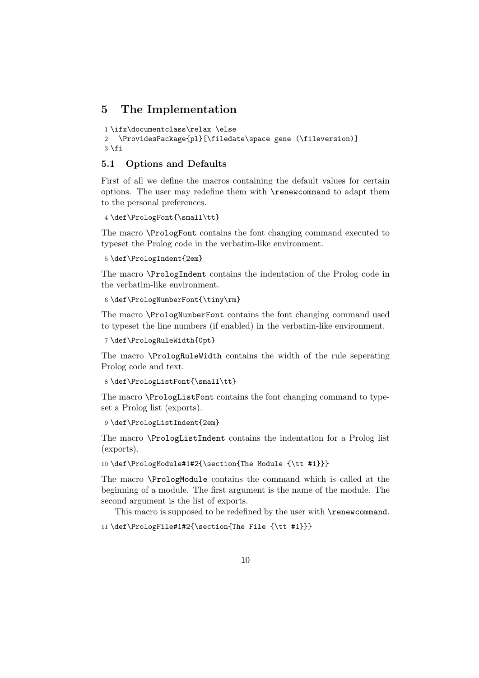# 5 The Implementation

```
1 \ifx\documentclass\relax \else
2 \ProvidesPackage{pl}[\filedate\space gene (\fileversion)]
3 \{fi
```
# 5.1 Options and Defaults

First of all we define the macros containing the default values for certain options. The user may redefine them with \renewcommand to adapt them to the personal preferences.

```
4 \def\PrologFont{\small\tt}
```
The macro \PrologFont contains the font changing command executed to typeset the Prolog code in the verbatim-like environment.

```
5 \def\PrologIndent{2em}
```
The macro \PrologIndent contains the indentation of the Prolog code in the verbatim-like environment.

```
6 \def\PrologNumberFont{\tiny\rm}
```
The macro \PrologNumberFont contains the font changing command used to typeset the line numbers (if enabled) in the verbatim-like environment.

```
7 \def\PrologRuleWidth{0pt}
```
The macro \PrologRuleWidth contains the width of the rule seperating Prolog code and text.

```
8 \def\PrologListFont{\small\tt}
```
The macro \PrologListFont contains the font changing command to typeset a Prolog list (exports).

```
9 \def\PrologListIndent{2em}
```
The macro \PrologListIndent contains the indentation for a Prolog list (exports).

10 \def\PrologModule#1#2{\section{The Module {\tt #1}}}

The macro \PrologModule contains the command which is called at the beginning of a module. The first argument is the name of the module. The second argument is the list of exports.

This macro is supposed to be redefined by the user with **\renewcommand**.

```
11 \def\PrologFile#1#2{\section{The File {\tt #1}}}
```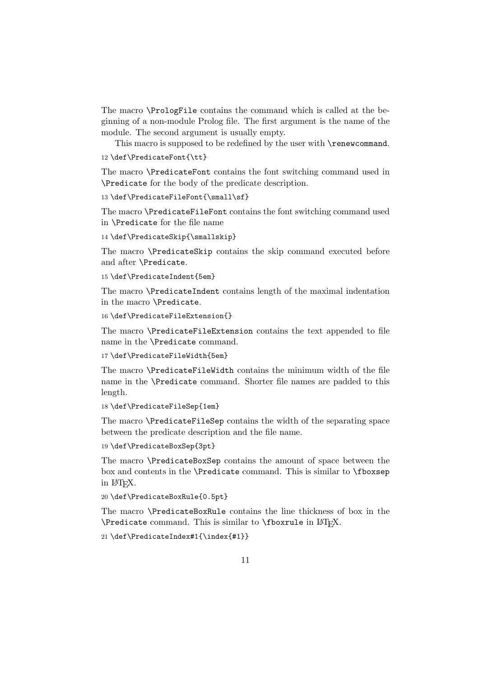The macro \PrologFile contains the command which is called at the beginning of a non-module Prolog file. The first argument is the name of the module. The second argument is usually empty.

This macro is supposed to be redefined by the user with \renewcommand.

```
12 \def\PredicateFont{\tt}
```
The macro \PredicateFont contains the font switching command used in \Predicate for the body of the predicate description.

13 \def\PredicateFileFont{\small\sf}

The macro \PredicateFileFont contains the font switching command used in \Predicate for the file name

```
14 \def\PredicateSkip{\smallskip}
```
The macro \PredicateSkip contains the skip command executed before and after \Predicate.

```
15 \def\PredicateIndent{5em}
```
The macro \PredicateIndent contains length of the maximal indentation in the macro \Predicate.

```
16 \def\PredicateFileExtension{}
```
The macro \PredicateFileExtension contains the text appended to file name in the \Predicate command.

17 \def\PredicateFileWidth{5em}

The macro \PredicateFileWidth contains the minimum width of the file name in the \Predicate command. Shorter file names are padded to this length.

```
18 \def\PredicateFileSep{1em}
```
The macro \PredicateFileSep contains the width of the separating space between the predicate description and the file name.

19 \def\PredicateBoxSep{3pt}

The macro \PredicateBoxSep contains the amount of space between the box and contents in the \Predicate command. This is similar to \fboxsep in LATEX.

20 \def\PredicateBoxRule{0.5pt}

The macro \PredicateBoxRule contains the line thickness of box in the  $\Theta$ . This is similar to  $\Theta$  is similar to  $\Theta$ .

21 \def\PredicateIndex#1{\index{#1}}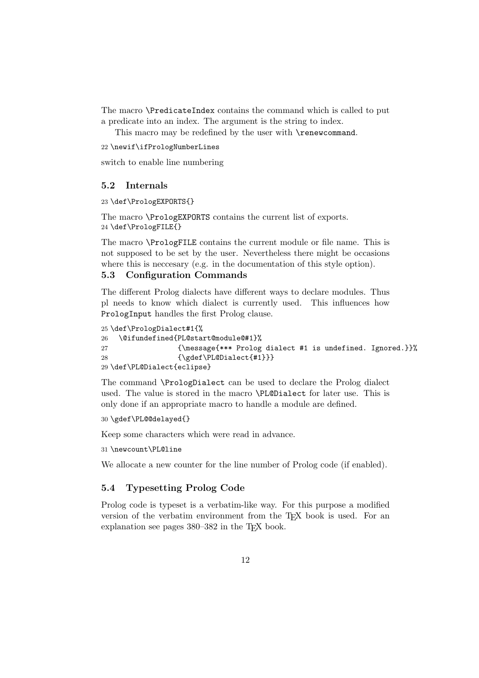The macro \PredicateIndex contains the command which is called to put a predicate into an index. The argument is the string to index.

This macro may be redefined by the user with **\renewcommand.** 

22 \newif\ifPrologNumberLines

switch to enable line numbering

### 5.2 Internals

23 \def\PrologEXPORTS{}

The macro \PrologEXPORTS contains the current list of exports. 24 \def\PrologFILE{}

The macro \PrologFILE contains the current module or file name. This is not supposed to be set by the user. Nevertheless there might be occasions where this is neccesary (e.g. in the documentation of this style option).

### 5.3 Configuration Commands

The different Prolog dialects have different ways to declare modules. Thus pl needs to know which dialect is currently used. This influences how PrologInput handles the first Prolog clause.

```
25 \def\PrologDialect#1{%
26 \@ifundefined{PL@start@module@#1}%
27 {\mathsf{***} \begin{align*} \mathsf{Proof} \end{align*}28 {\gdef\PL@Dialect{#1}}}
29 \def\PL@Dialect{eclipse}
```
The command \PrologDialect can be used to declare the Prolog dialect used. The value is stored in the macro \PL@Dialect for later use. This is only done if an appropriate macro to handle a module are defined.

```
30 \gdef\PL@@delayed{}
```
Keep some characters which were read in advance.

31 \newcount\PL@line

We allocate a new counter for the line number of Prolog code (if enabled).

### 5.4 Typesetting Prolog Code

Prolog code is typeset is a verbatim-like way. For this purpose a modified version of the verbatim environment from the T<sub>E</sub>X book is used. For an explanation see pages  $380-382$  in the T<sub>EX</sub> book.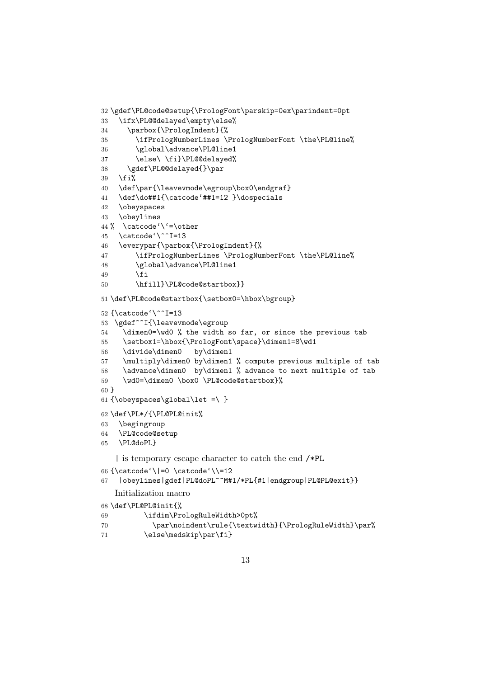```
32 \gdef\PL@code@setup{\PrologFont\parskip=0ex\parindent=0pt
33 \ifx\PL@@delayed\empty\else%
34 \parbox{\PrologIndent}{%
35 \ifPrologNumberLines \PrologNumberFont \the\PL@line%
36 \global\advance\PL@line1
37 \else\ \fi}\PL@@delayed%
38 \gdef\PL@@delayed{}\par
39 \fi%
40 \def\par{\leavevmode\egroup\box0\endgraf}
41 \def\do##1{\catcode'##1=12 }\dospecials
42 \obeyspaces
43 \obeylines
44 % \catcode' +other
45 \catcode'\^^I=13
46 \everypar{\parbox{\PrologIndent}{%
47 \ifPrologNumberLines \PrologNumberFont \the\PL@line%
48 \global\advance\PL@line1
49 \fi
50 \hfill}\PL@code@startbox}}
51 \def\PL@code@startbox{\setbox0=\hbox\bgroup}
52 {\catcode'\^^I=13
53 \gdef^^I{\leavevmode\egroup
54 \dimen0=\wd0 % the width so far, or since the previous tab
55 \setbox1=\hbox{\PrologFont\space}\dimen1=8\wd1
56 \divide\dimen0 by\dimen1
57 \multiply\dimen0 by\dimen1 % compute previous multiple of tab
58 \advance\dimen0 by\dimen1 % advance to next multiple of tab
59 \wd0=\dimen0 \box0 \PL@code@startbox}%
60 }
61 {\obeyspaces\global\let =\ }
62 \def\PL*/{\PL@PL@init%
63 \begingroup
64 \PL@code@setup
65 \PL@doPL}
   | is temporary escape character to catch the end /*PL
66 {\catcode'\|=0 \catcode'\\=12
67 |obeylines|gdef|PL@doPL^^M#1/*PL{#1|endgroup|PL@PL@exit}}
   Initialization macro
68 \def\PL@PL@init{%
69 \ifdim\PrologRuleWidth>0pt%
70 \par\noindent\rule{\textwidth}{\PrologRuleWidth}\par%
```
71 \else\medskip\par\fi}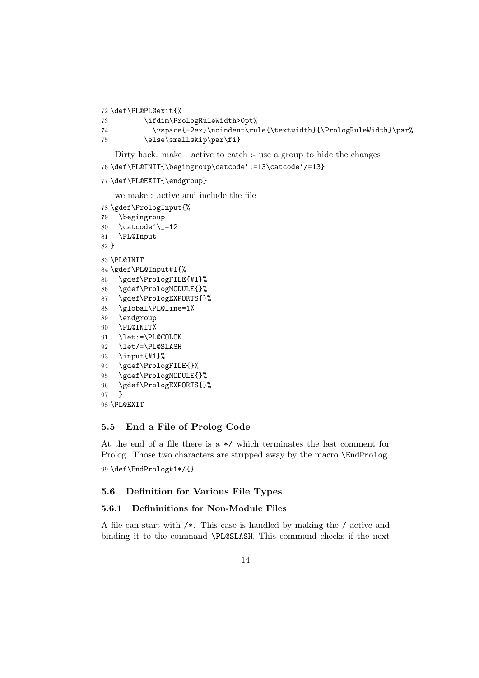\def\PL@PL@exit{%

```
73 \ifdim\PrologRuleWidth>0pt%
74 \vspace{-2ex}\noindent\rule{\textwidth}{\PrologRuleWidth}\par%
75 \else\smallskip\par\fi}
```

```
Dirty hack. make : active to catch :- use a group to hide the changes
76 \def\PL@INIT{\begingroup\catcode':=13\catcode'/=13}
```

```
77 \def\PL@EXIT{\endgroup}
```
we make : active and include the file

```
78 \gdef\PrologInput{%
79 \begingroup
80 \catcode'\_=12
81 \PL@Input
82 }
83 \PL@INIT
84 \gdef\PL@Input#1{%
85 \gdef\PrologFILE{#1}%
86 \gdef\PrologMODULE{}%
87 \gdef\PrologEXPORTS{}%
88 \global\PL@line=1%
89 \endgroup
90 \PL@INIT%
91 \let:=\PL@COLON
92 \let/=\PL@SLASH
93 \input{#1}%
94 \gdef\PrologFILE{}%
95 \gdef\PrologMODULE{}%
96 \gdef\PrologEXPORTS{}%
97 }
98 \PL@EXIT
```
# 5.5 End a File of Prolog Code

At the end of a file there is a \*/ which terminates the last comment for Prolog. Those two characters are stripped away by the macro **\EndProlog.** \def\EndProlog#1\*/{}

# 5.6 Definition for Various File Types

# 5.6.1 Defininitions for Non-Module Files

A file can start with /\*. This case is handled by making the / active and binding it to the command \PL@SLASH. This command checks if the next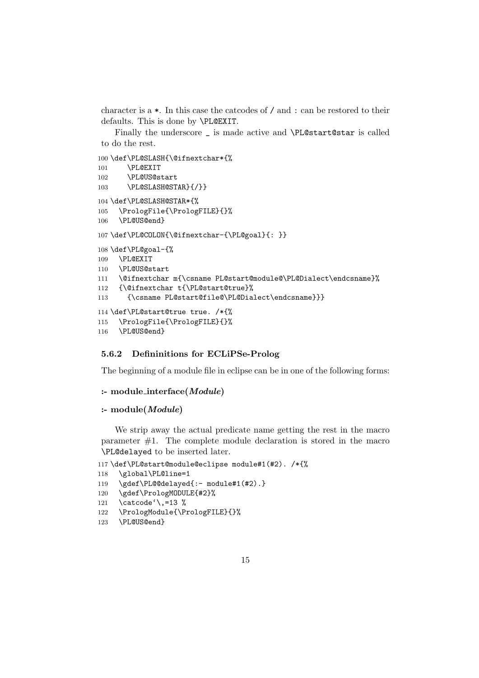character is a \*. In this case the catcodes of / and : can be restored to their defaults. This is done by \PL@EXIT.

Finally the underscore \_ is made active and \PL@start@star is called to do the rest.

```
100 \def\PL@SLASH{\@ifnextchar*{%
101 \PL@EXIT
102 \PL@US@start
103 \PL@SLASH@STAR}{/}}
104 \def\PL@SLASH@STAR*{%
105 \PrologFile{\PrologFILE}{}%
106 \PL@US@end}
107 \def\PL@COLON{\@ifnextchar-{\PL@goal}{: }}
108 \def\PL@goal-{%
109 \PL@EXIT
110 \PL@US@start
111 \@ifnextchar m{\csname PL@start@module@\PL@Dialect\endcsname}%
112 {\@ifnextchar t{\PL@start@true}%
113 {\csname PL@start@file@\PL@Dialect\endcsname}}}
114 \def\PL@start@true true. /*{%
115 \PrologFile{\PrologFILE}{}%
116 \PL@US@end}
```
### 5.6.2 Defininitions for ECLiPSe-Prolog

The beginning of a module file in eclipse can be in one of the following forms:

### :- module interface(Module)

#### :- module(Module)

We strip away the actual predicate name getting the rest in the macro parameter #1. The complete module declaration is stored in the macro \PL@delayed to be inserted later.

```
117 \def\PL@start@module@eclipse module#1(#2). /*{%
```

```
118 \global\PL@line=1
```

```
119 \gdef\PL@@delayed{:- module#1(#2).}
```

```
120 \gdef\PrologMODULE{#2}%
```

```
121 \catcode'\,=13 %
```

```
122 \PrologModule{\PrologFILE}{}%
```

```
123 \PL@US@end}
```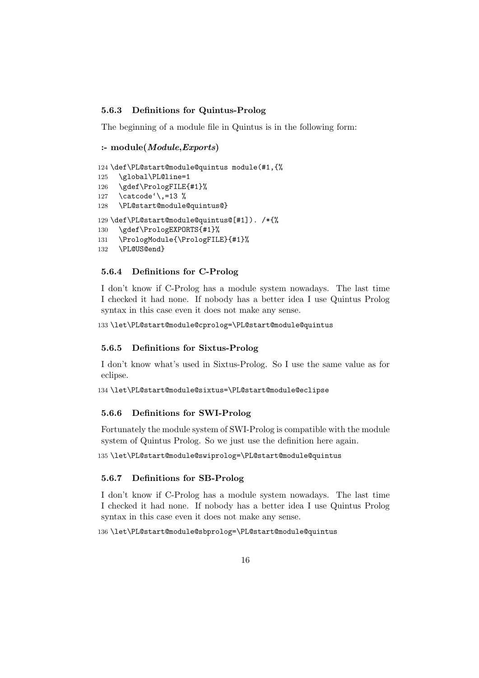# 5.6.3 Definitions for Quintus-Prolog

The beginning of a module file in Quintus is in the following form:

```
:- module(Module,Exports)
```

```
124 \def\PL@start@module@quintus module(#1,{%
125 \global\PL@line=1
126 \gdef\PrologFILE{#1}%
127 \catcode'\,=13 %
128 \PL@start@module@quintus@}
129 \def\PL@start@module@quintus@[#1]). /*{%
130 \gdef\PrologEXPORTS{#1}%
131 \PrologModule{\PrologFILE}{#1}%
132 \PL@US@end}
```
### 5.6.4 Definitions for C-Prolog

I don't know if C-Prolog has a module system nowadays. The last time I checked it had none. If nobody has a better idea I use Quintus Prolog syntax in this case even it does not make any sense.

133 \let\PL@start@module@cprolog=\PL@start@module@quintus

### 5.6.5 Definitions for Sixtus-Prolog

I don't know what's used in Sixtus-Prolog. So I use the same value as for eclipse.

134 \let\PL@start@module@sixtus=\PL@start@module@eclipse

### 5.6.6 Definitions for SWI-Prolog

Fortunately the module system of SWI-Prolog is compatible with the module system of Quintus Prolog. So we just use the definition here again.

135 \let\PL@start@module@swiprolog=\PL@start@module@quintus

#### 5.6.7 Definitions for SB-Prolog

I don't know if C-Prolog has a module system nowadays. The last time I checked it had none. If nobody has a better idea I use Quintus Prolog syntax in this case even it does not make any sense.

136 \let\PL@start@module@sbprolog=\PL@start@module@quintus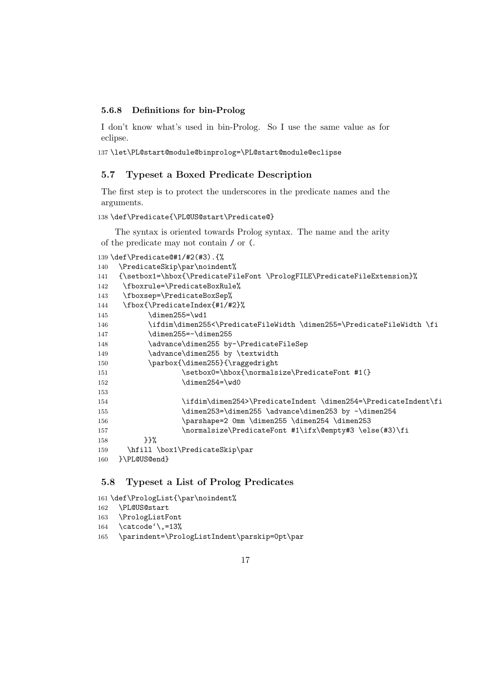### 5.6.8 Definitions for bin-Prolog

I don't know what's used in bin-Prolog. So I use the same value as for eclipse.

137 \let\PL@start@module@binprolog=\PL@start@module@eclipse

# 5.7 Typeset a Boxed Predicate Description

The first step is to protect the underscores in the predicate names and the arguments.

### 138 \def\Predicate{\PL@US@start\Predicate@}

The syntax is oriented towards Prolog syntax. The name and the arity of the predicate may not contain / or (.

```
139 \def\Predicate@#1/#2(#3).{%
140 \PredicateSkip\par\noindent%
141 {\setbox1=\hbox{\PredicateFileFont \PrologFILE\PredicateFileExtension}%
142 \fboxrule=\PredicateBoxRule%
143 \fboxsep=\PredicateBoxSep%
144 \fbox{\PredicateIndex{#1/#2}%
145 \dimen255=\wd1
146 \ifdim\dimen255<\PredicateFileWidth \dimen255=\PredicateFileWidth \fi
147 \dimen255=-\dimen255
148 \advance\dimen255 by-\PredicateFileSep
149 \advance\dimen255 by \textwidth
150 \parbox{\dimen255}{\raggedright
151 \setbox0=\hbox{\normalsize\PredicateFont #1(}
152 \dimen254=\wd0
153
154 \ifdim\dimen254>\PredicateIndent \dimen254=\PredicateIndent\fi
155 \dimen253=\dimen255 \advance\dimen253 by -\dimen254
156 \parshape=2 0mm \dimen255 \dimen254 \dimen253
157 \normalsize\PredicateFont #1\ifx\@empty#3 \else(#3)\fi
158 }}%
159 \hfill \box1\PredicateSkip\par
160 }\PL@US@end}
```
# 5.8 Typeset a List of Prolog Predicates

```
161 \def\PrologList{\par\noindent%
162 \PL@US@start
163 \PrologListFont
164 \catcode'\,=13%
165 \parindent=\PrologListIndent\parskip=0pt\par
```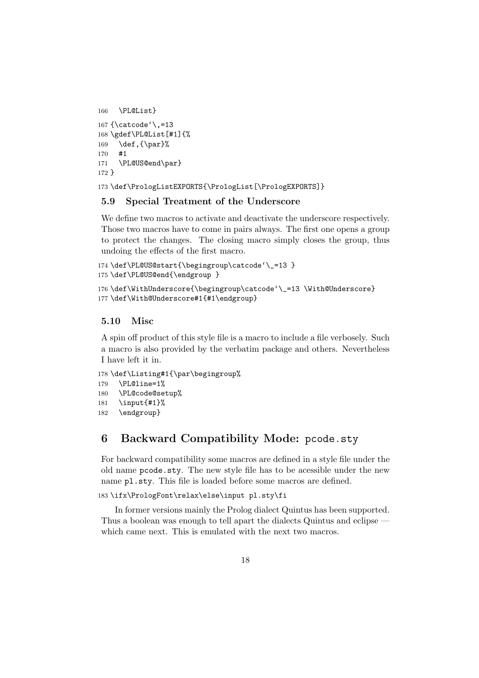```
166 \PL@List}
167 {\catcode'\,=13
168 \gdef\PL@List[#1]{%
169 \def, {\par}%
170 #1
171 \PL@US@end\par}
172 }
```
173 \def\PrologListEXPORTS{\PrologList[\PrologEXPORTS]}

# 5.9 Special Treatment of the Underscore

We define two macros to activate and deactivate the underscore respectively. Those two macros have to come in pairs always. The first one opens a group to protect the changes. The closing macro simply closes the group, thus undoing the effects of the first macro.

```
174 \def\PL@US@start{\begingroup\catcode'\_=13 }
175 \def\PL@US@end{\endgroup }
176 \def\WithUnderscore{\begingroup\catcode'\_=13 \With@Underscore}
```

```
177 \def\With@Underscore#1{#1\endgroup}
```
# 5.10 Misc

A spin off product of this style file is a macro to include a file verbosely. Such a macro is also provided by the verbatim package and others. Nevertheless I have left it in.

```
178 \def\Listing#1{\par\begingroup%
179 \PL@line=1%
180 \PL@code@setup%
181 \input{#1}%
182 \endgroup}
```
# 6 Backward Compatibility Mode: pcode.sty

For backward compatibility some macros are defined in a style file under the old name pcode.sty. The new style file has to be acessible under the new name pl.sty. This file is loaded before some macros are defined.

183 \ifx\PrologFont\relax\else\input pl.sty\fi

In former versions mainly the Prolog dialect Quintus has been supported. Thus a boolean was enough to tell apart the dialects Quintus and eclipse which came next. This is emulated with the next two macros.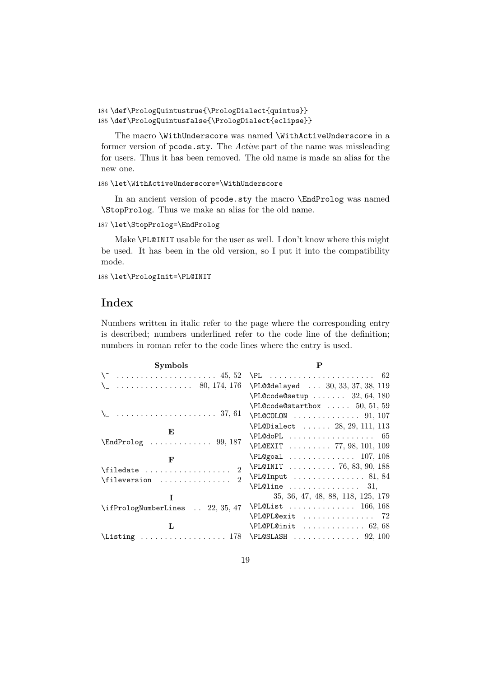```
184 \def\PrologQuintustrue{\PrologDialect{quintus}}
185 \def\PrologQuintusfalse{\PrologDialect{eclipse}}
```
The macro \WithUnderscore was named \WithActiveUnderscore in a former version of pcode.sty. The Active part of the name was missleading for users. Thus it has been removed. The old name is made an alias for the new one.

186 \let\WithActiveUnderscore=\WithUnderscore

In an ancient version of pcode.sty the macro \EndProlog was named \StopProlog. Thus we make an alias for the old name.

187 \let\StopProlog=\EndProlog

Make \PL@INIT usable for the user as well. I don't know where this might be used. It has been in the old version, so I put it into the compatibility mode.

188 \let\PrologInit=\PL@INIT

# Index

Numbers written in italic refer to the page where the corresponding entry is described; numbers underlined refer to the code line of the definition; numbers in roman refer to the code lines where the entry is used.

| <b>Symbols</b>                                                                  | P                                                |
|---------------------------------------------------------------------------------|--------------------------------------------------|
|                                                                                 |                                                  |
| $\ldots \ldots \ldots \ldots \ldots$ 80, 174, 176                               | \PL@@delayed  30, 33, 37, 38, 119                |
|                                                                                 | $\Delta$ PL@code@setup  32, 64, 180              |
|                                                                                 | $\text{PL@code@startbox} \ldots 50, 51, 59$      |
|                                                                                 | $\Delta 91, 107$                                 |
| E                                                                               | \PL@Dialect  28, 29, 111, 113                    |
| $\Lambda$ Prolog  99, 187                                                       | $\P$ L@doPL $65$                                 |
|                                                                                 | \PL@EXIT  77, 98, 101, 109                       |
| F                                                                               | $\P1@goal$ 107, 108                              |
| $\mathfrak{D}$                                                                  | $\Delta 3, 90, 188$                              |
| $\mathfrak{D}$<br>$\left\{\text{fileversion}\right.\dots\dots\dots\dots\quad$   | $\Delta$ 81, 84                                  |
|                                                                                 | $\texttt{PL@line} \dots \dots \dots \dots \ 31,$ |
| T                                                                               | 35, 36, 47, 48, 88, 118, 125, 179                |
| \ifPrologNumberLines  22, 35, 47                                                | $\Delta$ 166, 168                                |
|                                                                                 | $\PL$ @PL@exit  72                               |
| L                                                                               | $\Delta 68$                                      |
| $\text{Listing} \quad \ldots \quad \text{178} \quad \ldots \quad \text{92,100}$ |                                                  |